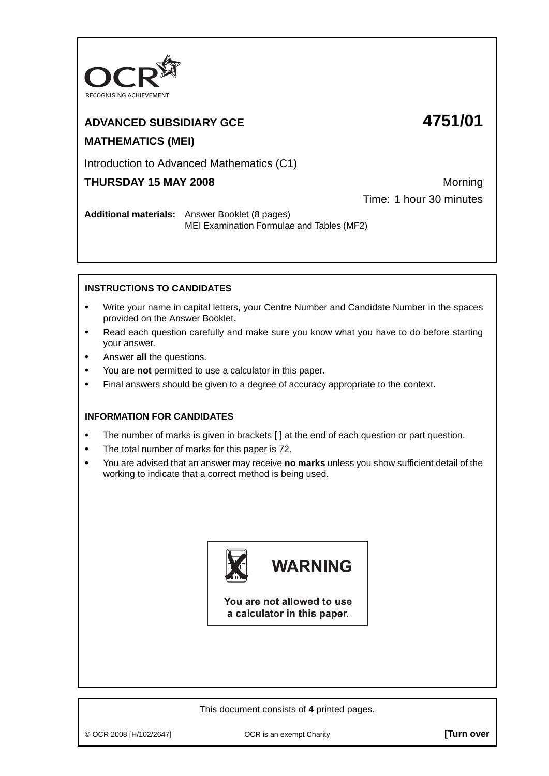

## **ADVANCED SUBSIDIARY GCE 4751/01 MATHEMATICS (MEI)**

#### Introduction to Advanced Mathematics (C1)

### **THURSDAY 15 MAY 2008** Morning

Time: 1 hour 30 minutes

**Additional materials:** Answer Booklet (8 pages) MEI Examination Formulae and Tables (MF2)

#### **INSTRUCTIONS TO CANDIDATES**

- **•** Write your name in capital letters, your Centre Number and Candidate Number in the spaces provided on the Answer Booklet.
- **•** Read each question carefully and make sure you know what you have to do before starting your answer.
- **•** Answer **all** the questions.
- **•** You are **not** permitted to use a calculator in this paper.
- **•** Final answers should be given to a degree of accuracy appropriate to the context.

#### **INFORMATION FOR CANDIDATES**

- The number of marks is given in brackets [ ] at the end of each question or part question.
- **•** The total number of marks for this paper is 72.
- **•** You are advised that an answer may receive **no marks** unless you show sufficient detail of the working to indicate that a correct method is being used.



# **WARNING**

You are not allowed to use a calculator in this paper.

This document consists of **4** printed pages.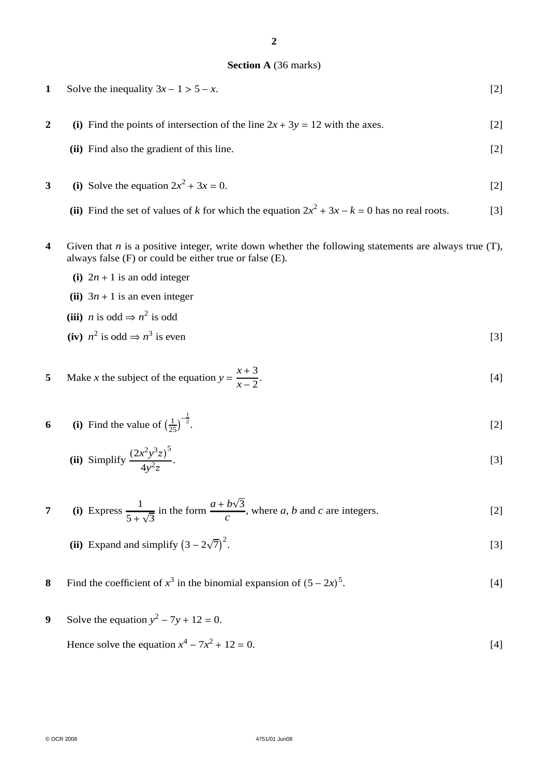#### **2**

#### **Section A** (36 marks)

| 1            | Solve the inequality $3x - 1 > 5 - x$ .                                       | [2] |
|--------------|-------------------------------------------------------------------------------|-----|
|              | (i) Find the points of intersection of the line $2x + 3y = 12$ with the axes. | [2] |
|              | (ii) Find also the gradient of this line.                                     | [2] |
| $\mathbf{3}$ | (i) Solve the equation $2x^2 + 3x = 0$ .                                      |     |

- (ii) Find the set of values of *k* for which the equation  $2x^2 + 3x k = 0$  has no real roots. [3]
- **4** Given that *n* is a positive integer, write down whether the following statements are always true (T), always false (F) or could be either true or false (E).
	- **(i)**  $2n + 1$  is an odd integer
	- **(ii)**  $3n + 1$  is an even integer
	- **(iii)** *n* is odd ⇒  $n^2$  is odd
	- (iv)  $n^2$  is odd  $\Rightarrow n^3$  is even [3]

5 Make *x* the subject of the equation 
$$
y = \frac{x+3}{x-2}
$$
. [4]

6 (i) Find the value of 
$$
\left(\frac{1}{25}\right)^{-\frac{1}{2}}
$$
. [2]

(ii) Simplify 
$$
\frac{(2x^2y^3z)^5}{4y^2z}
$$
. [3]

7 (i) Express 
$$
\frac{1}{5 + \sqrt{3}}
$$
 in the form  $\frac{a + b\sqrt{3}}{c}$ , where *a*, *b* and *c* are integers. [2]

- **(ii)** Expand and simplify  $(3 2\sqrt{7})^2$ .  $[3]$
- **8** Find the coefficient of  $x^3$  in the binomial expansion of  $(5 2x)^5$ .  $[4]$
- **9** Solve the equation  $y^2 7y + 12 = 0$ .

Hence solve the equation  $x^4 - 7x^2 + 12 = 0$ . [4]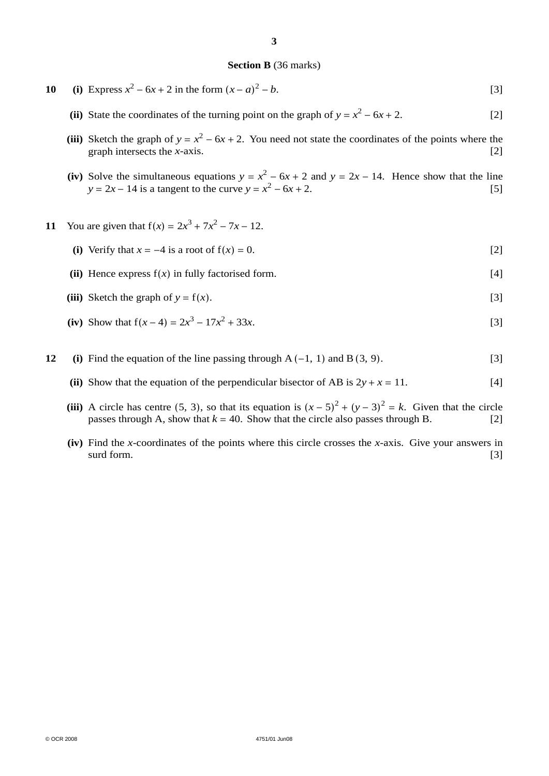#### **Section B** (36 marks)

- **10** (i) Express  $x^2 6x + 2$  in the form  $(x a)^2 b$ .  $2^2 - b$ . [3]
	- (ii) State the coordinates of the turning point on the graph of  $y = x^2 6x + 2$ . [2]
	- (iii) Sketch the graph of  $y = x^2 6x + 2$ . You need not state the coordinates of the points where the graph intersects the *x*-axis. [2]
	- (iv) Solve the simultaneous equations  $y = x^2 6x + 2$  and  $y = 2x 14$ . Hence show that the line  $y = 2x - 14$  is a tangent to the curve  $y = x^2 - 6x + 2$ . [5]
- **11** You are given that  $f(x) = 2x^3 + 7x^2 7x 12$ .
	- (i) Verify that  $x = -4$  is a root of  $f(x) = 0$ . [2]
	- **(ii)** Hence express  $f(x)$  in fully factorised form. [4]
	- (iii) Sketch the graph of  $y = f(x)$ . [3]
	- (iv) Show that  $f(x-4) = 2x^3 17x^2 + 33x$ . [3]
- **12** (i) Find the equation of the line passing through  $A(-1, 1)$  and  $B(3, 9)$ . [3]
	- **(ii)** Show that the equation of the perpendicular bisector of AB is  $2y + x = 11$ . [4]
	- (iii) A circle has centre (5, 3), so that its equation is  $(x 5)^2 + (y 3)^2 = k$ . Given that the circle passes through A, show that  $k = 40$ . Show that the circle also passes through B. [2]
	- **(iv)** Find the *x*-coordinates of the points where this circle crosses the *x*-axis. Give your answers in surd form. [3]